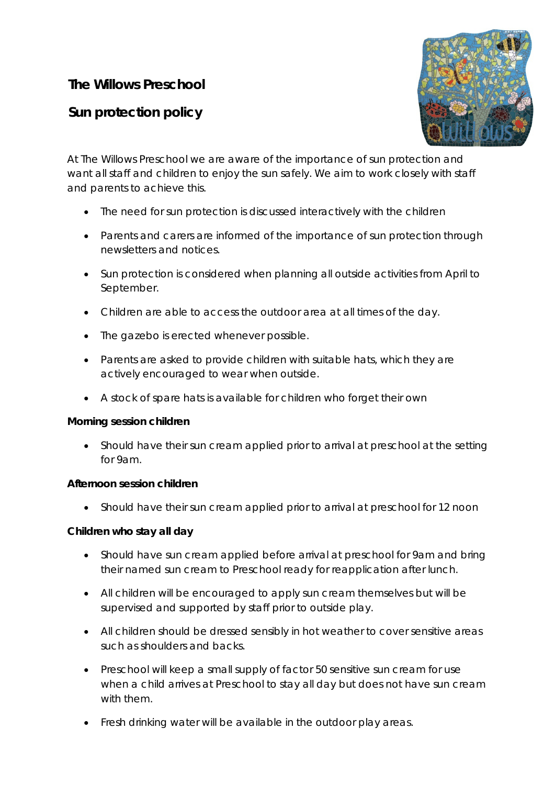# **The Willows Preschool**

# **Sun protection policy**



At The Willows Preschool we are aware of the importance of sun protection and want all staff and children to enjoy the sun safely. We aim to work closely with staff and parents to achieve this.

- The need for sun protection is discussed interactively with the children
- Parents and carers are informed of the importance of sun protection through newsletters and notices.
- Sun protection is considered when planning all outside activities from April to September.
- Children are able to access the outdoor area at all times of the day.
- The gazebo is erected whenever possible.
- Parents are asked to provide children with suitable hats, which they are actively encouraged to wear when outside.
- A stock of spare hats is available for children who forget their own

## **Morning session children**

• Should have their sun cream applied prior to arrival at preschool at the setting for 9am.

## **Afternoon session children**

• Should have their sun cream applied prior to arrival at preschool for 12 noon

## **Children who stay all day**

- Should have sun cream applied before arrival at preschool for 9am and bring their named sun cream to Preschool ready for reapplication after lunch.
- All children will be encouraged to apply sun cream themselves but will be supervised and supported by staff prior to outside play.
- All children should be dressed sensibly in hot weather to cover sensitive areas such as shoulders and backs.
- Preschool will keep a small supply of factor 50 sensitive sun cream for use when a child arrives at Preschool to stay all day but does not have sun cream with them.
- Fresh drinking water will be available in the outdoor play areas.